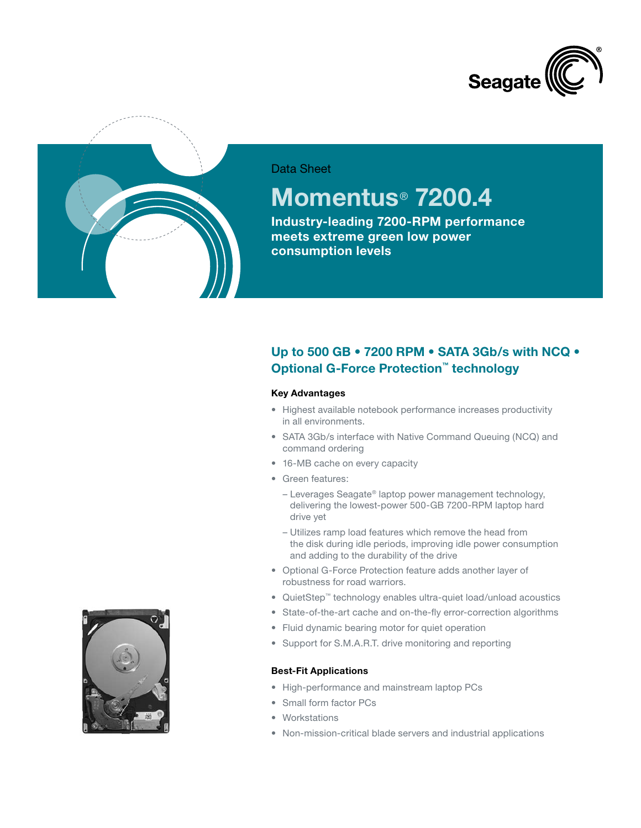



## Data Sheet

# **Momentus**® **7200.4**

**Industry-leading 7200-RPM performance meets extreme green low power consumption levels**

## **Up to 500 GB • 7200 RPM • SATA 3Gb/s with NCQ • Optional G-Force Protection™ technology**

#### **Key Advantages**

- • Highest available notebook performance increases productivity in all environments.
- SATA 3Gb/s interface with Native Command Queuing (NCQ) and command ordering
- 16-MB cache on every capacity
- Green features:
	- Leverages Seagate® laptop power management technology, delivering the lowest-power 500-GB 7200-RPM laptop hard drive yet
	- Utilizes ramp load features which remove the head from the disk during idle periods, improving idle power consumption and adding to the durability of the drive
- • Optional G-Force Protection feature adds another layer of robustness for road warriors.
- • QuietStep™ technology enables ultra-quiet load/unload acoustics
- State-of-the-art cache and on-the-fly error-correction algorithms
- Fluid dynamic bearing motor for quiet operation
- Support for S.M.A.R.T. drive monitoring and reporting

### **Best-Fit Applications**

- • High-performance and mainstream laptop PCs
- Small form factor PCs
- • Workstations
- Non-mission-critical blade servers and industrial applications